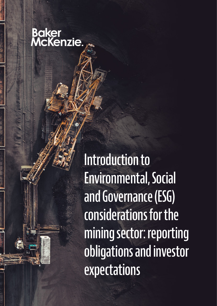# Baker<br>McKenzie.

Introduction to Environmental, Social and Governance (ESG) considerations for the mining sector: reporting obligations and investor expectations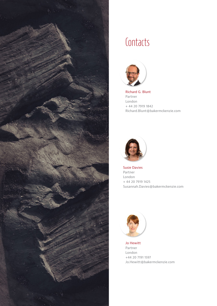

### **Contacts**



Richard G. Blunt Partner London + 44 20 7919 1842 Richard.Blunt@bakermckenzie.com



Susie Davies Partner London + 44 20 7919 1425 Susannah.Davies@bakermckenzie.com



Jo Hewitt Partner London +44 20 7191 1597 Jo.Hewitt@bakermckenzie.com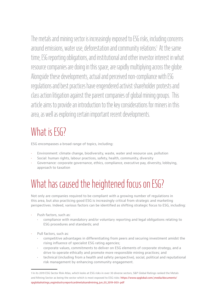The metals and mining sector is increasingly exposed to ESG risks, including concerns around emissions, water use, deforestation and community relations! At the same time, ESG reporting obligations, and institutional and other investor interest in what resource companies are doing in this space, are rapidly multiplying across the globe. Alongside these developments, actual and perceived non-compliance with ESG regulations and best practices have engendered activist shareholder protests and class action litigation against the parent companies of global mining groups. This article aims to provide an introduction to the key considerations for miners in this area, as well as exploring certain important recent developments.

### What is **ESG?**

ESG encompasses a broad range of topics, including:

- Environment: climate change, biodiversity, waste, water and resource use, pollution
- Social: human rights, labour practices, safety, health, community, diversity
- Governance: corporate governance, ethics, compliance, executive pay, diversity, lobbying, approach to taxation

## What has caused the heightened focus on ESG?

Not only are companies required to be compliant with a growing number of regulations in this area, but also practicing good ESG is increasingly critical from strategic and marketing perspectives. Indeed, various factors can be identified as shifting strategic focus to ESG, including:

- Push factors, such as:
	- compliance with mandatory and/or voluntary reporting and legal obligations relating to ESG procedures and standards; and
- Pull factors, such as:
	- competitive advantages in differentiating from peers and securing investment amidst the rising influence of specialist ESG rating agencies;
	- corporate values, commitments to deliver on ESG elements of corporate strategy, and a drive to operate ethically and promote more responsible mining practices; and
	- technical (including from a health and safety perspective), social, political and reputational risk management by enhancing community engagement.

<sup>1</sup> In its 2019 ESG Sector Risk Atlas, which looks at ESG risks in over 30 diverse sectors, S&P Global Ratings ranked the Metals and Mining Sector as being the sector which is most exposed to ESG risks: [https://www.spglobal.com/\\_media/documents/](https://www.spglobal.com/_media/documents/spglobalratings_esgindustryreportcardmetalsandmining_jun_03_2019-003-.pdf) [spglobalratings\\_esgindustryreportcardmetalsandmining\\_jun\\_03\\_2019-003-.pdf](https://www.spglobal.com/_media/documents/spglobalratings_esgindustryreportcardmetalsandmining_jun_03_2019-003-.pdf)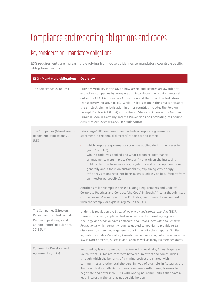## Compliance and reporting obligations and codes

### Key consideration - mandatory obligations

ESG requirements are increasingly evolving from loose guidelines to mandatory country-specific obligations, such as:

| <b>ESG - Mandatory obligations</b>                                                                                                | <b>Overview</b>                                                                                                                                                                                                                                                                                                                                                                                                                                                                                                                                                                               |
|-----------------------------------------------------------------------------------------------------------------------------------|-----------------------------------------------------------------------------------------------------------------------------------------------------------------------------------------------------------------------------------------------------------------------------------------------------------------------------------------------------------------------------------------------------------------------------------------------------------------------------------------------------------------------------------------------------------------------------------------------|
| The Bribery Act 2010 (UK)                                                                                                         | Provides visibility in the UK on how assets and licences are awarded to<br>extractive companies by incorporating into statue the requirements set<br>out in the OECD Anti-Bribery Convention and the Extractive Industries<br>Transparency Initiative (EITI). While UK legislation in this area is arguably<br>the strictest, similar legislation in other countries includes the Foreign<br>Corrupt Practice Act (FCPA) in the United States of America, the German<br>Criminal Code in Germany and the Prevention and Combating of Corrupt<br>Activities Act, 2004 (PCCAA) in South Africa; |
| The Companies (Miscellaneous<br>Reporting) Regulations 2018<br>(UK)                                                               | "Very large" UK companies must include a corporate governance<br>statement in the annual directors' report stating either:                                                                                                                                                                                                                                                                                                                                                                                                                                                                    |
|                                                                                                                                   | which corporate governance code was applied during the preceding<br>year ("comply"); or<br>why no code was applied and what corporate governance<br>×.<br>arrangements were in place ("explain") that given the increasing<br>public attention from investors, regulators and public opinion more<br>generally and a focus on sustainability, explaining why energy<br>efficiency actions have not been taken is unlikely to be sufficient from<br>an investor perspective).                                                                                                                  |
|                                                                                                                                   | Another similar example is the JSE Listing Requirements and Code of<br>Corporate Practices and Conduct (the Code) in South Africa (although listed<br>companies must comply with the JSE Listing Requirements, in contrast<br>with the "comply or explain" regime in the UK);                                                                                                                                                                                                                                                                                                                 |
| The Companies (Directors'<br>Report) and Limited Liability<br>Partnerships (Energy and<br>Carbon Report) Regulations<br>2018 (UK) | Under this regulation the Streamlined energy and carbon reporting (SECR)<br>framework is being implemented via amendments to existing regulations<br>(the Large and Medium-sized Companies and Groups (Accounts and Reports)<br>Regulations), which currently requires quoted companies to provide certain<br>disclosures on greenhouse gas emissions in their director's reports. Similar<br>legislation includes Mandatory Greenhouse Gas Reporting which is required by<br>law in North America, Australia and Japan as well as many EU member states;                                     |
| Community Development<br>Agreements (CDAs)                                                                                        | Required by law in some countries (including Australia, China, Nigeria and<br>South Africa), CDAs are contracts between investors and communities<br>through which the benefits of a mining project are shared with<br>communities and other stakeholders. By way of example, in Australia, the<br>Australian Native Title Act requires companies with mining licenses to<br>negotiate and enter into CDAs with Aboriginal communities that have a<br>legal interest in the land as native title holders.                                                                                     |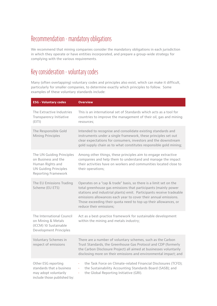#### Recommendation - mandatory obligations

We recommend that mining companies consider the mandatory obligations in each jurisdiction in which they operate or have entities incorporated, and prepare a group-wide strategy for complying with the various requirements.

#### Key consideration - voluntary codes

Many (often overlapping) voluntary codes and principles also exist, which can make it difficult, particularly for smaller companies, to determine exactly which principles to follow. Some examples of these voluntary standards include:

| <b>ESG - Voluntary codes</b>                                                                                                       | <b>Overview</b>                                                                                                                                                                                                                                                                                                                                                              |
|------------------------------------------------------------------------------------------------------------------------------------|------------------------------------------------------------------------------------------------------------------------------------------------------------------------------------------------------------------------------------------------------------------------------------------------------------------------------------------------------------------------------|
| The Extractive Industries<br>Transparency Initiative<br>(E T )                                                                     | This is an international set of Standards which acts as a tool for<br>countries to improve the management of their oil, gas and mining<br>resources;                                                                                                                                                                                                                         |
| The Responsible Gold<br><b>Mining Principles</b>                                                                                   | Intended to recognise and consolidate existing standards and<br>instruments under a single framework, these principles set out<br>clear expectations for consumers, investors and the downstream<br>gold supply chain as to what constitutes responsible gold mining;                                                                                                        |
| The UN Guiding Principles<br>on Business and the<br>Human Rights and<br><b>UN Guiding Principles</b><br><b>Reporting Framework</b> | Among other things, these principles aim to engage extractive<br>companies and help them to understand and manage the impact<br>their activities have on workers and communities located close to<br>their operations;                                                                                                                                                       |
| The EU Emissions Trading<br>Scheme (EU ETS)                                                                                        | Operates on a "cap & trade" basis, so there is a limit set on the<br>total greenhouse gas emissions that participants (mainly power<br>stations and industrial plants) emit. Participants receive tradeable<br>emissions allowances each year to cover their annual emissions.<br>Those exceeding their quota need to top up their allowances, or<br>reduce their emissions; |
| The International Council<br>on Mining & Metals<br>(ICCM) 10 Sustainable<br><b>Development Principles</b>                          | Act as a best-practice framework for sustainable development<br>within the mining and metals industry;                                                                                                                                                                                                                                                                       |
| Voluntary Schemes in<br>respect of emissions                                                                                       | There are a number of voluntary schemes, such as the Carbon<br>Trust Standards, the Greenhouse Gas Protocol and CDP (formerly<br>the Carbon Disclosure Project) all aimed at businesses voluntarily<br>disclosing more on their emissions and environmental impact; and                                                                                                      |
| Other ESG reporting<br>standards that a business<br>may adopt voluntarily<br>include those published by:                           | the Task Force on Climate-related Financial Disclosures (TCFD);<br>¥,<br>the Sustainability Accounting Standards Board (SASB); and<br>k,<br>the Global Reporting Initiative (GRI).<br>k,                                                                                                                                                                                     |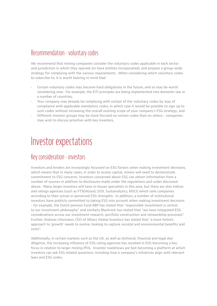#### Recommendation - voluntary codes

We recommend that mining companies consider the voluntary codes applicable in each sector and jurisdiction in which they operate (or have entities incorporated), and prepare a group-wide strategy for complying with the various requirements. When considering which voluntary codes to subscribe to, it is worth bearing in mind that:

- Certain voluntary codes may become hard obligations in the future, and so may be worth considering now. For example, the EITI principles are being implemented into domestic law in a number of countries;
- Your company may already be complying with certain of the voluntary codes by way of compliance with applicable mandatory codes, in which case it would be possible to sign up to such codes without increasing the overall existing scope of your company's ESG strategy; and
- Different investor groups may be more focused on certain codes than on others companies may wish to discuss priorities with key investors.

### Investor expectations

#### Key consideration - investors

Investors and lenders are increasingly focussed on ESG factors when making investment decisions, which means that in many cases, in order to access capital, miners will need to demonstrate commitment to ESG concerns. Investors concerned about ESG can obtain information from a number of sources in addition to disclosures made under the regulations and codes discussed above. Many larger investors will have in-house specialists in this area, but there are also indices and ratings agencies (such as FTSE4Good, DJSI, Sustainalytics, MSCI) which rank companies according to their actual or perceived ESG strengths. In addition, a number of institutional investors have publicly committed to taking ESG into account when making investment decisions - for example, the Dutch pension fund ABP has stated that "responsible investment is central to our investment philosophy" and similarly Blackrock has stated that "we have integrated ESG considerations across our investment research, portfolio construction and stewardship processes". Further, Andreas Utermann, CEO of Allianz Global Investors has stated that "a more holistic approach to 'growth' needs to evolve, looking to capture societal and environmental benefits and costs".

Additionally, in certain markets such as the UK, as well as technical, financial and legal due diligence, the increasing influence of ESG rating agencies has resulted in ESG becoming a key focus in relation to larger mining IPOs. Investor roadshows are fast becoming a platform at which investors can ask ESG related questions, including how a company's initiatives align with relevant laws and ESG codes.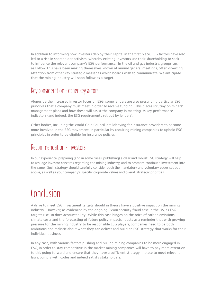In addition to informing how investors deploy their capital in the first place, ESG factors have also led to a rise in shareholder activism, whereby existing investors use their shareholding to seek to influence the relevant company's ESG performance. In the oil and gas industry, groups such as Follow This have been making themselves known at annual general meetings, often diverting attention from other key strategic messages which boards wish to communicate. We anticipate that the mining industry will soon follow as a target.

#### Key consideration - other key actors

Alongside the increased investor focus on ESG, some lenders are also prescribing particular ESG principles that a company must meet in order to receive funding. This places scrutiny on miners' management plans and how these will assist the company in meeting its key performance indicators (and indeed, the ESG requirements set out by lenders).

Other bodies, including the World Gold Council, are lobbying for insurance providers to become more involved in the ESG movement, in particular by requiring mining companies to uphold ESG principles in order to be eligible for insurance policies.

#### Recommendation - investors

In our experience, preparing (and in some cases, publishing) a clear and robust ESG strategy will help to assuage investor concerns regarding the mining industry, and to promote continued investment into the same. Such strategy should carefully consider both the mandatory and voluntary codes set out above, as well as your company's specific corporate values and overall strategic priorities.

### **Conclusion**

A drive to meet ESG investment targets should in theory have a positive impact on the mining industry. However, as evidenced by the ongoing Exxon security fraud case in the US, as ESG targets rise, so does accountability. While this case hinges on the price of carbon emissions, climate costs and the forecasting of future policy impacts, it acts as a reminder that with growing pressure for the mining industry to be responsible ESG players, companies need to be both ambitious and realistic about what they can deliver and build an ESG strategy that works for their individual business.

In any case, with various factors pushing and pulling mining companies to be more engaged in ESG, in order to stay competitive in the market mining companies will have to pay more attention to this going forward and ensure that they have a sufficient strategy in place to meet relevant laws, comply with codes and indeed satisfy stakeholders.